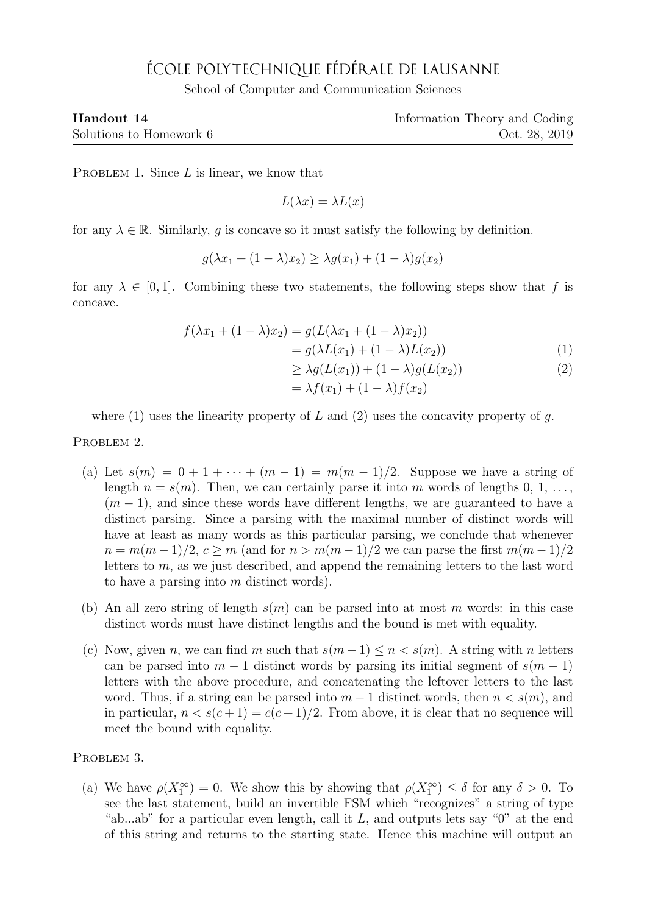## ÉCOLE POLYTECHNIQUE FÉDÉRALE DE LAUSANNE

School of Computer and Communication Sciences

| Handout 14              | Information Theory and Coding |
|-------------------------|-------------------------------|
| Solutions to Homework 6 | Oct. 28, 2019                 |

PROBLEM 1. Since  $L$  is linear, we know that

$$
L(\lambda x) = \lambda L(x)
$$

for any  $\lambda \in \mathbb{R}$ . Similarly, g is concave so it must satisfy the following by definition.

$$
g(\lambda x_1 + (1 - \lambda)x_2) \ge \lambda g(x_1) + (1 - \lambda)g(x_2)
$$

for any  $\lambda \in [0,1]$ . Combining these two statements, the following steps show that f is concave.

$$
f(\lambda x_1 + (1 - \lambda)x_2) = g(L(\lambda x_1 + (1 - \lambda)x_2))
$$
  
=  $g(\lambda L(x_1) + (1 - \lambda)L(x_2))$  (1)

$$
\geq \lambda g(L(x_1)) + (1 - \lambda)g(L(x_2))\tag{2}
$$

$$
= \lambda f(x_1) + (1 - \lambda)f(x_2)
$$

where (1) uses the linearity property of L and (2) uses the concavity property of q.

PROBLEM 2.

- (a) Let  $s(m) = 0 + 1 + \cdots + (m 1) = m(m 1)/2$ . Suppose we have a string of length  $n = s(m)$ . Then, we can certainly parse it into m words of lengths 0, 1, ...,  $(m-1)$ , and since these words have different lengths, we are guaranteed to have a distinct parsing. Since a parsing with the maximal number of distinct words will have at least as many words as this particular parsing, we conclude that whenever  $n = m(m-1)/2, c > m$  (and for  $n > m(m-1)/2$  we can parse the first  $m(m-1)/2$ letters to  $m$ , as we just described, and append the remaining letters to the last word to have a parsing into m distinct words).
- (b) An all zero string of length  $s(m)$  can be parsed into at most m words: in this case distinct words must have distinct lengths and the bound is met with equality.
- (c) Now, given n, we can find m such that  $s(m-1) \leq n \leq s(m)$ . A string with n letters can be parsed into  $m - 1$  distinct words by parsing its initial segment of  $s(m - 1)$ letters with the above procedure, and concatenating the leftover letters to the last word. Thus, if a string can be parsed into  $m-1$  distinct words, then  $n < s(m)$ , and in particular,  $n < s(c+1) = c(c+1)/2$ . From above, it is clear that no sequence will meet the bound with equality.

PROBLEM 3.

(a) We have  $\rho(X_1^{\infty}) = 0$ . We show this by showing that  $\rho(X_1^{\infty}) \leq \delta$  for any  $\delta > 0$ . To see the last statement, build an invertible FSM which "recognizes" a string of type "ab...ab" for a particular even length, call it  $L$ , and outputs lets say " $0$ " at the end of this string and returns to the starting state. Hence this machine will output an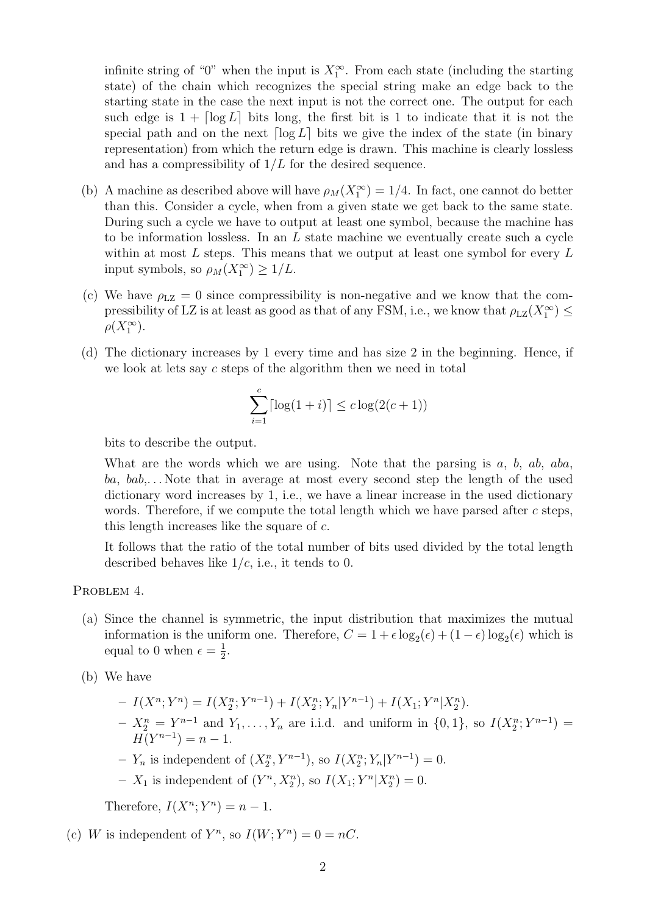infinite string of "0" when the input is  $X_1^{\infty}$ . From each state (including the starting state) of the chain which recognizes the special string make an edge back to the starting state in the case the next input is not the correct one. The output for each such edge is  $1 + \lceil \log L \rceil$  bits long, the first bit is 1 to indicate that it is not the special path and on the next  $\lceil \log L \rceil$  bits we give the index of the state (in binary representation) from which the return edge is drawn. This machine is clearly lossless and has a compressibility of  $1/L$  for the desired sequence.

- (b) A machine as described above will have  $\rho_M(X_1^{\infty}) = 1/4$ . In fact, one cannot do better than this. Consider a cycle, when from a given state we get back to the same state. During such a cycle we have to output at least one symbol, because the machine has to be information lossless. In an  $L$  state machine we eventually create such a cycle within at most  $L$  steps. This means that we output at least one symbol for every  $L$ input symbols, so  $\rho_M(X_1^{\infty}) \geq 1/L$ .
- (c) We have  $\rho_{\text{LZ}} = 0$  since compressibility is non-negative and we know that the compressibility of LZ is at least as good as that of any FSM, i.e., we know that  $\rho_{\rm LZ}(X_1^{\infty}) \leq$  $\rho(X_1^{\infty}).$
- (d) The dictionary increases by 1 every time and has size 2 in the beginning. Hence, if we look at lets say c steps of the algorithm then we need in total

$$
\sum_{i=1}^{c} \lceil \log(1+i) \rceil \le c \log(2(c+1))
$$

bits to describe the output.

What are the words which we are using. Note that the parsing is  $a, b, ab, aba,$  $ba, bab,...$  Note that in average at most every second step the length of the used dictionary word increases by 1, i.e., we have a linear increase in the used dictionary words. Therefore, if we compute the total length which we have parsed after  $c$  steps, this length increases like the square of c.

It follows that the ratio of the total number of bits used divided by the total length described behaves like  $1/c$ , i.e., it tends to 0.

PROBLEM 4.

- (a) Since the channel is symmetric, the input distribution that maximizes the mutual information is the uniform one. Therefore,  $C = 1 + \epsilon \log_2(\epsilon) + (1 - \epsilon) \log_2(\epsilon)$  which is equal to 0 when  $\epsilon = \frac{1}{2}$  $\frac{1}{2}$ .
- (b) We have
	- $-I(X^n; Y^n) = I(X_2^n; Y^{n-1}) + I(X_2^n; Y_n | Y^{n-1}) + I(X_1; Y^n | X_2^n).$  $- X_2^n = Y^{n-1}$  and  $Y_1, \ldots, Y_n$  are i.i.d. and uniform in  $\{0, 1\}$ , so  $I(X_2^n; Y^{n-1}) =$  $H(Y^{n-1}) = n - 1.$
	- $-Y_n$  is independent of  $(X_2^n, Y^{n-1}),$  so  $I(X_2^n; Y_n | Y^{n-1}) = 0.$
	- $X_1$  is independent of  $(Y^n, X_2^n)$ , so  $I(X_1; Y^n | X_2^n) = 0$ .

Therefore,  $I(X^n;Y^n) = n-1$ .

(c) W is independent of 
$$
Y^n
$$
, so  $I(W; Y^n) = 0 = nC$ .